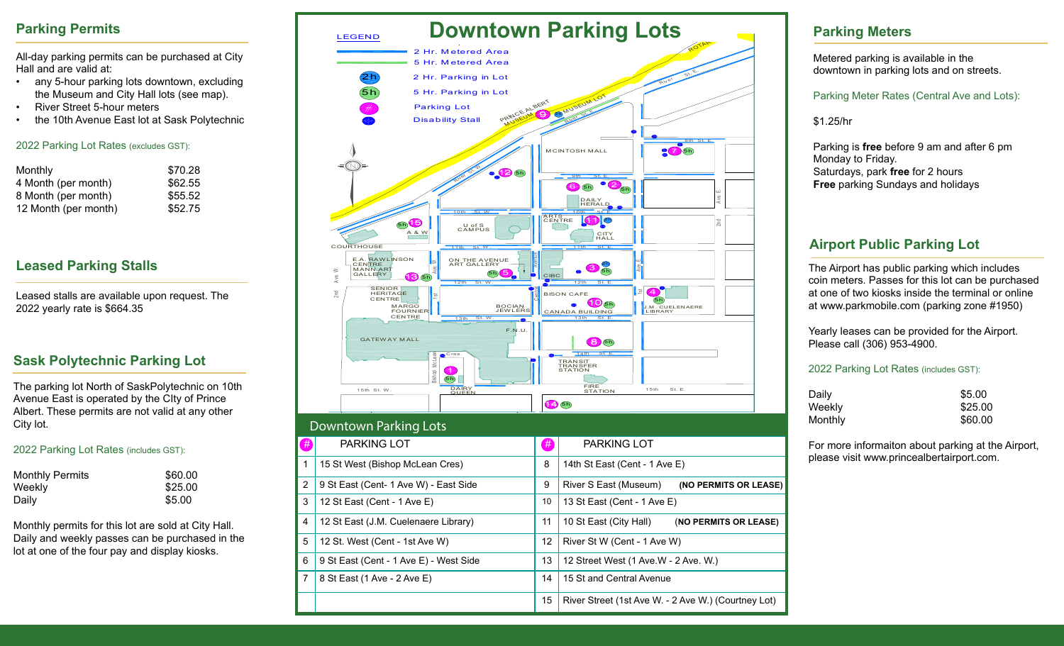## **Parking Permits**

All-day parking permits can be purchased at City Hall and are valid at:

- any 5-hour parking lots downtown, excluding the Museum and City Hall lots (see map).
- River Street 5-hour meters
- the 10th Avenue East lot at Sask Polytechnic

#### 2022 Parking Lot Rates (excludes GST):

| Monthly              | \$70.28 |
|----------------------|---------|
| 4 Month (per month)  | \$62.55 |
| 8 Month (per month)  | \$55.52 |
| 12 Month (per month) | \$52.75 |

## **Leased Parking Stalls**

Leased stalls are available upon request. The 2022 yearly rate is \$664.35

# **Sask Polytechnic Parking Lot**

The parking lot North of SaskPolytechnic on 10th Avenue East is operated by the CIty of Prince Albert. These permits are not valid at any other City lot.

#### 2022 Parking Lot Rates (includes GST):

| <b>Monthly Permits</b> | \$60.00 |
|------------------------|---------|
| Weekly                 | \$25.00 |
| Daily                  | \$5.00  |

Monthly permits for this lot are sold at City Hall. Daily and weekly passes can be purchased in the lot at one of the four pay and display kiosks.



## **Parking Meters**

Metered parking is available in the downtown in parking lots and on streets.

Parking Meter Rates (Central Ave and Lots):

\$1.25/hr

Parking is **free** before 9 am and after 6 pm Monday to Friday. Saturdays, park **free** for 2 hours **Free** parking Sundays and holidays

# **Airport Public Parking Lot**

The Airport has public parking which includes coin meters. Passes for this lot can be purchased at one of two kiosks inside the terminal or online at www.parkmobile.com (parking zone #1950)

Yearly leases can be provided for the Airport. Please call (306) 953-4900.

#### 2022 Parking Lot Rates (includes GST):

| Daily   | \$5.00  |
|---------|---------|
| Weekly  | \$25.00 |
| Monthly | \$60.00 |

For more informaiton about parking at the Airport, please visit www.princealbertairport.com.